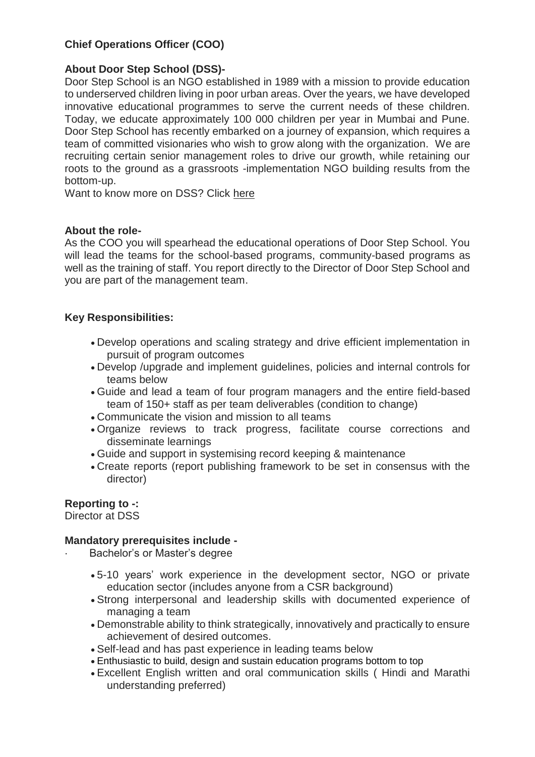# **Chief Operations Officer (COO)**

# **About Door Step School (DSS)-**

Door Step School is an NGO established in 1989 with a mission to provide education to underserved children living in poor urban areas. Over the years, we have developed innovative educational programmes to serve the current needs of these children. Today, we educate approximately 100 000 children per year in Mumbai and Pune. Door Step School has recently embarked on a journey of expansion, which requires a team of committed visionaries who wish to grow along with the organization. We are recruiting certain senior management roles to drive our growth, while retaining our roots to the ground as a grassroots -implementation NGO building results from the bottom-up.

Want to know more on DSS? Click [here](https://doorstepschool.org/mumbai/about-us/)

#### **About the role-**

As the COO you will spearhead the educational operations of Door Step School. You will lead the teams for the school-based programs, community-based programs as well as the training of staff. You report directly to the Director of Door Step School and you are part of the management team.

# **Key Responsibilities:**

- Develop operations and scaling strategy and drive efficient implementation in pursuit of program outcomes
- Develop /upgrade and implement guidelines, policies and internal controls for teams below
- Guide and lead a team of four program managers and the entire field-based team of 150+ staff as per team deliverables (condition to change)
- Communicate the vision and mission to all teams
- Organize reviews to track progress, facilitate course corrections and disseminate learnings
- Guide and support in systemising record keeping & maintenance
- Create reports (report publishing framework to be set in consensus with the director)

#### **Reporting to -:**

Director at DSS

#### **Mandatory prerequisites include -**

- Bachelor's or Master's degree
	- 5-10 years' work experience in the development sector, NGO or private education sector (includes anyone from a CSR background)
	- Strong interpersonal and leadership skills with documented experience of managing a team
	- Demonstrable ability to think strategically, innovatively and practically to ensure achievement of desired outcomes.
	- Self-lead and has past experience in leading teams below
	- Enthusiastic to build, design and sustain education programs bottom to top
	- Excellent English written and oral communication skills ( Hindi and Marathi understanding preferred)